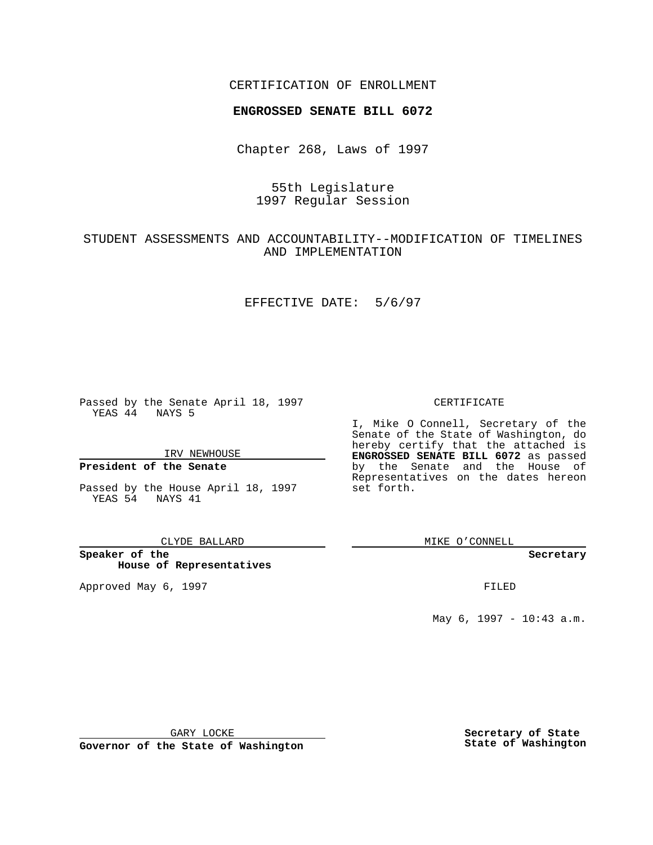## CERTIFICATION OF ENROLLMENT

# **ENGROSSED SENATE BILL 6072**

Chapter 268, Laws of 1997

# 55th Legislature 1997 Regular Session

# STUDENT ASSESSMENTS AND ACCOUNTABILITY--MODIFICATION OF TIMELINES AND IMPLEMENTATION

### EFFECTIVE DATE: 5/6/97

Passed by the Senate April 18, 1997 YEAS 44 NAYS 5

IRV NEWHOUSE

## **President of the Senate**

Passed by the House April 18, 1997 YEAS 54 NAYS 41

#### CLYDE BALLARD

**Speaker of the House of Representatives**

Approved May 6, 1997 **FILED** 

### CERTIFICATE

I, Mike O Connell, Secretary of the Senate of the State of Washington, do hereby certify that the attached is **ENGROSSED SENATE BILL 6072** as passed by the Senate and the House of Representatives on the dates hereon set forth.

MIKE O'CONNELL

#### **Secretary**

May 6, 1997 - 10:43 a.m.

GARY LOCKE

**Governor of the State of Washington**

**Secretary of State State of Washington**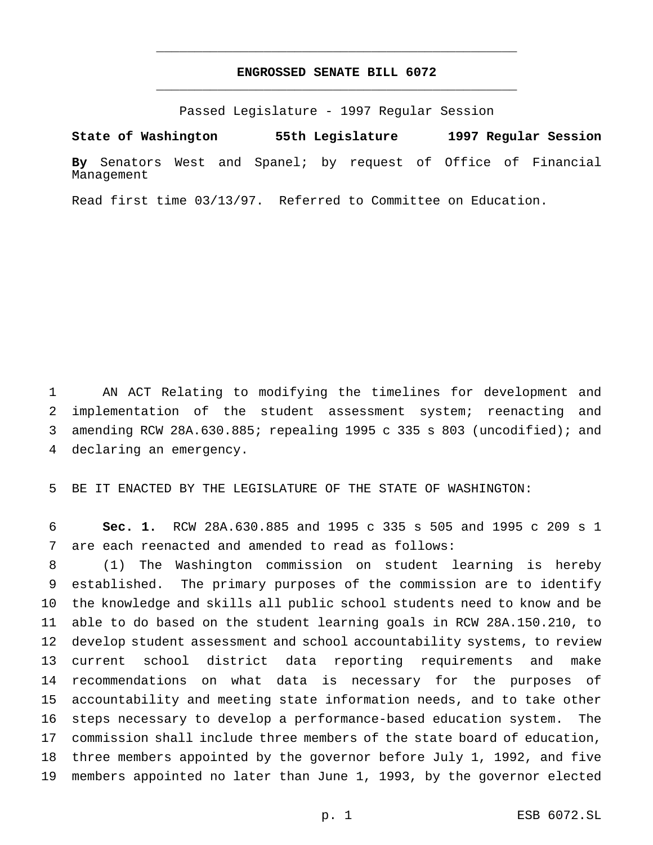## **ENGROSSED SENATE BILL 6072** \_\_\_\_\_\_\_\_\_\_\_\_\_\_\_\_\_\_\_\_\_\_\_\_\_\_\_\_\_\_\_\_\_\_\_\_\_\_\_\_\_\_\_\_\_\_\_

\_\_\_\_\_\_\_\_\_\_\_\_\_\_\_\_\_\_\_\_\_\_\_\_\_\_\_\_\_\_\_\_\_\_\_\_\_\_\_\_\_\_\_\_\_\_\_

Passed Legislature - 1997 Regular Session

**State of Washington 55th Legislature 1997 Regular Session**

**By** Senators West and Spanel; by request of Office of Financial Management

Read first time 03/13/97. Referred to Committee on Education.

 AN ACT Relating to modifying the timelines for development and implementation of the student assessment system; reenacting and amending RCW 28A.630.885; repealing 1995 c 335 s 803 (uncodified); and declaring an emergency.

BE IT ENACTED BY THE LEGISLATURE OF THE STATE OF WASHINGTON:

 **Sec. 1.** RCW 28A.630.885 and 1995 c 335 s 505 and 1995 c 209 s 1 are each reenacted and amended to read as follows:

 (1) The Washington commission on student learning is hereby established. The primary purposes of the commission are to identify the knowledge and skills all public school students need to know and be able to do based on the student learning goals in RCW 28A.150.210, to develop student assessment and school accountability systems, to review current school district data reporting requirements and make recommendations on what data is necessary for the purposes of accountability and meeting state information needs, and to take other steps necessary to develop a performance-based education system. The commission shall include three members of the state board of education, three members appointed by the governor before July 1, 1992, and five members appointed no later than June 1, 1993, by the governor elected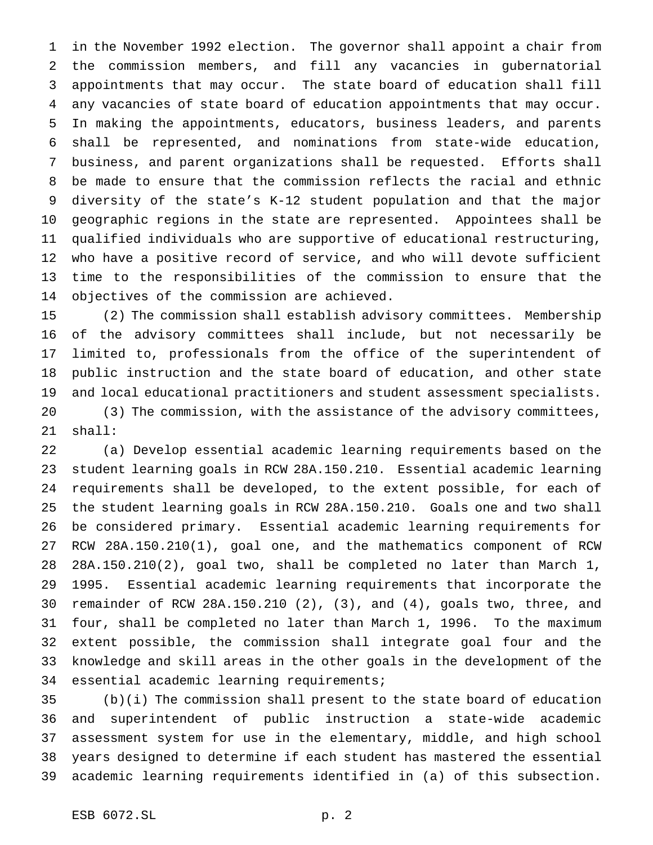in the November 1992 election. The governor shall appoint a chair from the commission members, and fill any vacancies in gubernatorial appointments that may occur. The state board of education shall fill any vacancies of state board of education appointments that may occur. In making the appointments, educators, business leaders, and parents shall be represented, and nominations from state-wide education, business, and parent organizations shall be requested. Efforts shall be made to ensure that the commission reflects the racial and ethnic diversity of the state's K-12 student population and that the major geographic regions in the state are represented. Appointees shall be qualified individuals who are supportive of educational restructuring, who have a positive record of service, and who will devote sufficient time to the responsibilities of the commission to ensure that the objectives of the commission are achieved.

 (2) The commission shall establish advisory committees. Membership of the advisory committees shall include, but not necessarily be limited to, professionals from the office of the superintendent of public instruction and the state board of education, and other state and local educational practitioners and student assessment specialists. (3) The commission, with the assistance of the advisory committees, shall:

 (a) Develop essential academic learning requirements based on the student learning goals in RCW 28A.150.210. Essential academic learning requirements shall be developed, to the extent possible, for each of the student learning goals in RCW 28A.150.210. Goals one and two shall be considered primary. Essential academic learning requirements for RCW 28A.150.210(1), goal one, and the mathematics component of RCW 28A.150.210(2), goal two, shall be completed no later than March 1, 1995. Essential academic learning requirements that incorporate the remainder of RCW 28A.150.210 (2), (3), and (4), goals two, three, and four, shall be completed no later than March 1, 1996. To the maximum extent possible, the commission shall integrate goal four and the knowledge and skill areas in the other goals in the development of the essential academic learning requirements;

 (b)(i) The commission shall present to the state board of education and superintendent of public instruction a state-wide academic assessment system for use in the elementary, middle, and high school years designed to determine if each student has mastered the essential academic learning requirements identified in (a) of this subsection.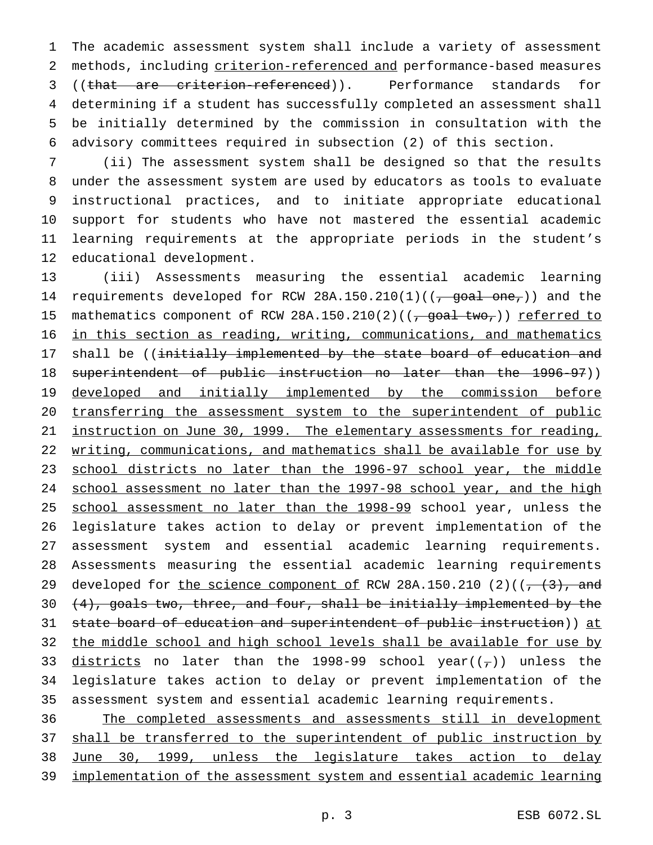The academic assessment system shall include a variety of assessment methods, including criterion-referenced and performance-based measures 3 ((that are criterion-referenced)). Performance standards for determining if a student has successfully completed an assessment shall be initially determined by the commission in consultation with the advisory committees required in subsection (2) of this section.

 (ii) The assessment system shall be designed so that the results under the assessment system are used by educators as tools to evaluate instructional practices, and to initiate appropriate educational support for students who have not mastered the essential academic learning requirements at the appropriate periods in the student's educational development.

 (iii) Assessments measuring the essential academic learning 14 requirements developed for RCW 28A.150.210(1)( $\frac{1}{100}$  one,)) and the 15 mathematics component of RCW 28A.150.210(2)( $(\frac{\pi}{100})$ ) referred to in this section as reading, writing, communications, and mathematics 17 shall be ((initially implemented by the state board of education and superintendent of public instruction no later than the 1996-97)) 19 developed and initially implemented by the commission before 20 transferring the assessment system to the superintendent of public instruction on June 30, 1999. The elementary assessments for reading, 22 writing, communications, and mathematics shall be available for use by school districts no later than the 1996-97 school year, the middle school assessment no later than the 1997-98 school year, and the high 25 school assessment no later than the 1998-99 school year, unless the legislature takes action to delay or prevent implementation of the assessment system and essential academic learning requirements. Assessments measuring the essential academic learning requirements 29 developed for the science component of RCW 28A.150.210 (2)( $(7, (3),$  and 30  $(4)$ , goals two, three, and four, shall be initially implemented by the 31 state board of education and superintendent of public instruction)) at 32 the middle school and high school levels shall be available for use by 33 districts no later than the 1998-99 school year( $(\tau)$ ) unless the legislature takes action to delay or prevent implementation of the assessment system and essential academic learning requirements.

 The completed assessments and assessments still in development 37 shall be transferred to the superintendent of public instruction by June 30, 1999, unless the legislature takes action to delay implementation of the assessment system and essential academic learning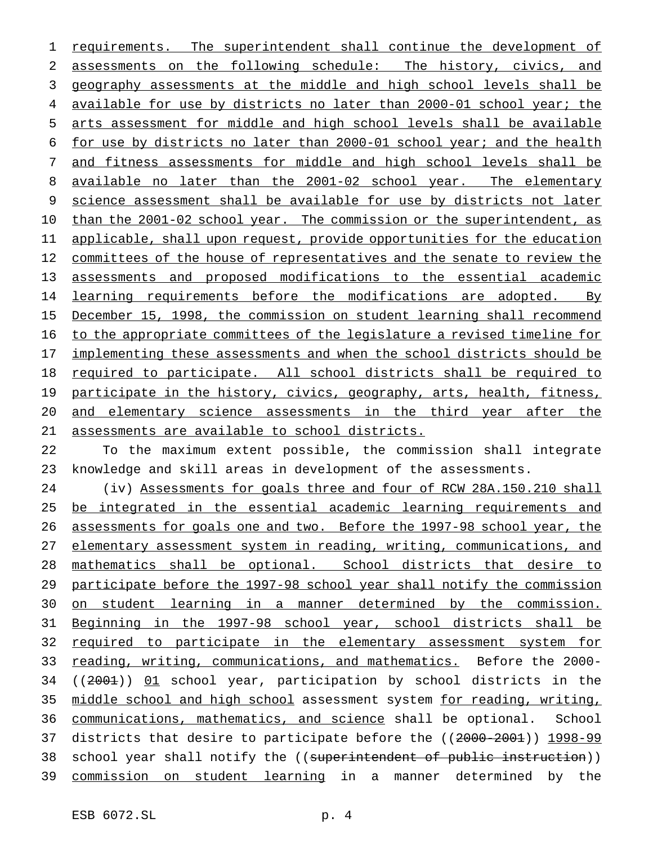requirements. The superintendent shall continue the development of assessments on the following schedule: The history, civics, and geography assessments at the middle and high school levels shall be 4 available for use by districts no later than 2000-01 school year; the arts assessment for middle and high school levels shall be available for use by districts no later than 2000-01 school year; and the health and fitness assessments for middle and high school levels shall be 8 available no later than the 2001-02 school year. The elementary science assessment shall be available for use by districts not later 10 than the 2001-02 school year. The commission or the superintendent, as 11 applicable, shall upon request, provide opportunities for the education 12 committees of the house of representatives and the senate to review the assessments and proposed modifications to the essential academic 14 learning requirements before the modifications are adopted. By December 15, 1998, the commission on student learning shall recommend to the appropriate committees of the legislature a revised timeline for 17 implementing these assessments and when the school districts should be required to participate. All school districts shall be required to 19 participate in the history, civics, geography, arts, health, fitness, and elementary science assessments in the third year after the assessments are available to school districts.

 To the maximum extent possible, the commission shall integrate knowledge and skill areas in development of the assessments.

 (iv) Assessments for goals three and four of RCW 28A.150.210 shall 25 be integrated in the essential academic learning requirements and assessments for goals one and two. Before the 1997-98 school year, the 27 elementary assessment system in reading, writing, communications, and mathematics shall be optional. School districts that desire to participate before the 1997-98 school year shall notify the commission on student learning in a manner determined by the commission. Beginning in the 1997-98 school year, school districts shall be required to participate in the elementary assessment system for reading, writing, communications, and mathematics. Before the 2000- ((2001)) 01 school year, participation by school districts in the middle school and high school assessment system for reading, writing, 36 communications, mathematics, and science shall be optional. School districts that desire to participate before the ((2000-2001)) 1998-99 38 school year shall notify the ((superintendent of public instruction)) commission on student learning in a manner determined by the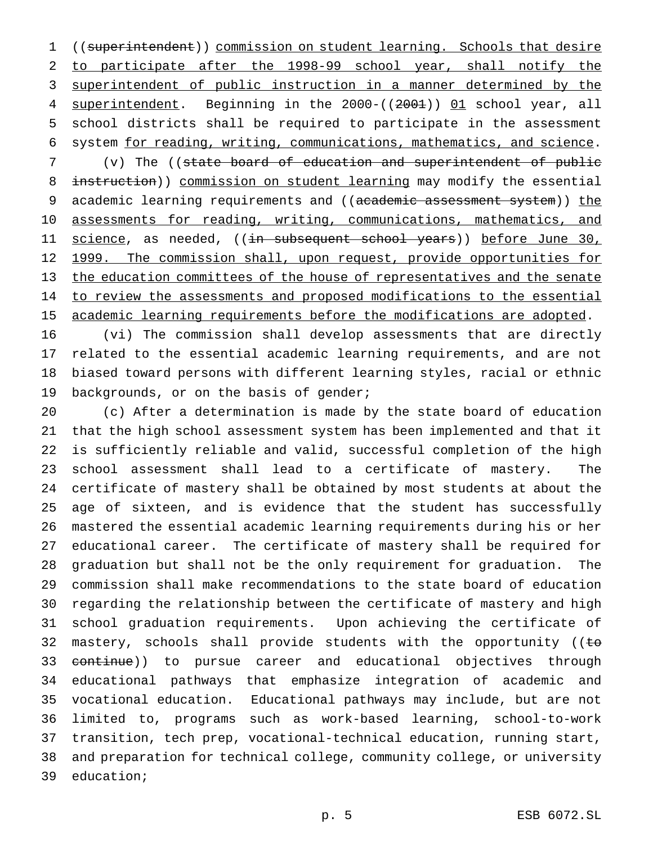((superintendent)) commission on student learning. Schools that desire to participate after the 1998-99 school year, shall notify the superintendent of public instruction in a manner determined by the 4 superintendent. Beginning in the 2000-((2001)) 01 school year, all school districts shall be required to participate in the assessment system for reading, writing, communications, mathematics, and science.

 (v) The ((state board of education and superintendent of public 8 instruction)) commission on student learning may modify the essential 9 academic learning requirements and ((academic assessment system)) the 10 assessments for reading, writing, communications, mathematics, and 11 <u>science</u>, as needed, ((<del>in subsequent school years</del>)) before June 30, 12 1999. The commission shall, upon request, provide opportunities for the education committees of the house of representatives and the senate 14 to review the assessments and proposed modifications to the essential 15 academic learning requirements before the modifications are adopted.

 (vi) The commission shall develop assessments that are directly related to the essential academic learning requirements, and are not biased toward persons with different learning styles, racial or ethnic 19 backgrounds, or on the basis of gender;

 (c) After a determination is made by the state board of education that the high school assessment system has been implemented and that it is sufficiently reliable and valid, successful completion of the high school assessment shall lead to a certificate of mastery. The certificate of mastery shall be obtained by most students at about the age of sixteen, and is evidence that the student has successfully mastered the essential academic learning requirements during his or her educational career. The certificate of mastery shall be required for graduation but shall not be the only requirement for graduation. The commission shall make recommendations to the state board of education regarding the relationship between the certificate of mastery and high school graduation requirements. Upon achieving the certificate of 32 mastery, schools shall provide students with the opportunity ( $\epsilon$ 33 <del>continue</del>)) to pursue career and educational objectives through educational pathways that emphasize integration of academic and vocational education. Educational pathways may include, but are not limited to, programs such as work-based learning, school-to-work transition, tech prep, vocational-technical education, running start, and preparation for technical college, community college, or university education;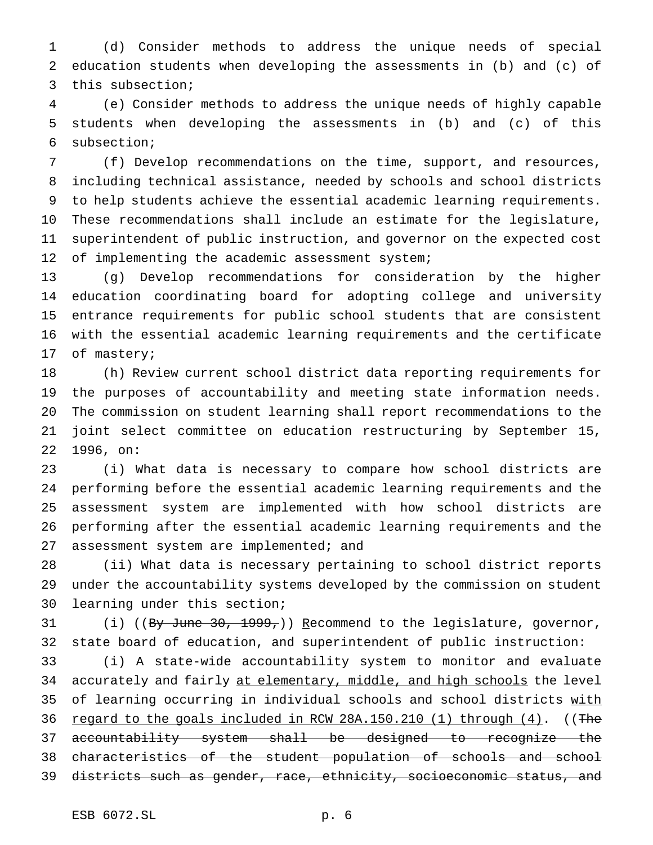(d) Consider methods to address the unique needs of special education students when developing the assessments in (b) and (c) of this subsection;

 (e) Consider methods to address the unique needs of highly capable students when developing the assessments in (b) and (c) of this subsection;

 (f) Develop recommendations on the time, support, and resources, including technical assistance, needed by schools and school districts to help students achieve the essential academic learning requirements. These recommendations shall include an estimate for the legislature, superintendent of public instruction, and governor on the expected cost 12 of implementing the academic assessment system;

 (g) Develop recommendations for consideration by the higher education coordinating board for adopting college and university entrance requirements for public school students that are consistent with the essential academic learning requirements and the certificate of mastery;

 (h) Review current school district data reporting requirements for the purposes of accountability and meeting state information needs. The commission on student learning shall report recommendations to the joint select committee on education restructuring by September 15, 1996, on:

 (i) What data is necessary to compare how school districts are performing before the essential academic learning requirements and the assessment system are implemented with how school districts are performing after the essential academic learning requirements and the 27 assessment system are implemented; and

 (ii) What data is necessary pertaining to school district reports under the accountability systems developed by the commission on student learning under this section;

31 (i) ((By June 30, 1999,)) Recommend to the legislature, governor, state board of education, and superintendent of public instruction:

 (i) A state-wide accountability system to monitor and evaluate 34 accurately and fairly at elementary, middle, and high schools the level 35 of learning occurring in individual schools and school districts with 36 regard to the goals included in RCW 28A.150.210 (1) through (4). ((The accountability system shall be designed to recognize the characteristics of the student population of schools and school districts such as gender, race, ethnicity, socioeconomic status, and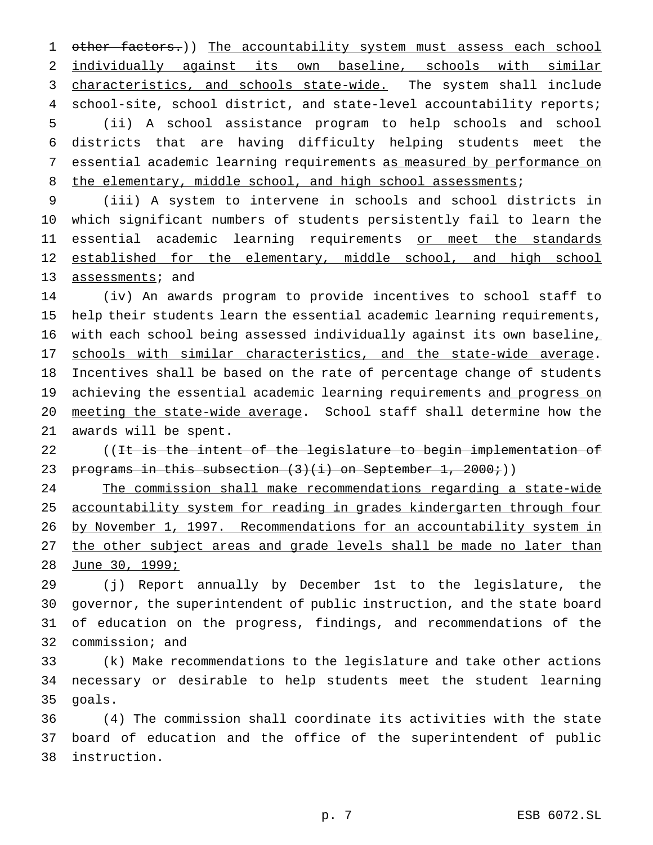1 other factors.)) The accountability system must assess each school 2 individually against its own baseline, schools with similar 3 characteristics, and schools state-wide. The system shall include school-site, school district, and state-level accountability reports; (ii) A school assistance program to help schools and school districts that are having difficulty helping students meet the essential academic learning requirements as measured by performance on 8 the elementary, middle school, and high school assessments;

 (iii) A system to intervene in schools and school districts in which significant numbers of students persistently fail to learn the essential academic learning requirements or meet the standards 12 established for the elementary, middle school, and high school 13 assessments; and

 (iv) An awards program to provide incentives to school staff to help their students learn the essential academic learning requirements, with each school being assessed individually against its own baseline, 17 schools with similar characteristics, and the state-wide average. Incentives shall be based on the rate of percentage change of students 19 achieving the essential academic learning requirements and progress on meeting the state-wide average. School staff shall determine how the awards will be spent.

22 ((<del>It is the intent of the legislature to begin implementation of</del> 23 programs in this subsection  $(3)(i)$  on September 1, 2000;))

 The commission shall make recommendations regarding a state-wide accountability system for reading in grades kindergarten through four by November 1, 1997. Recommendations for an accountability system in 27 the other subject areas and grade levels shall be made no later than June 30, 1999;

 (j) Report annually by December 1st to the legislature, the governor, the superintendent of public instruction, and the state board of education on the progress, findings, and recommendations of the commission; and

 (k) Make recommendations to the legislature and take other actions necessary or desirable to help students meet the student learning goals.

 (4) The commission shall coordinate its activities with the state board of education and the office of the superintendent of public instruction.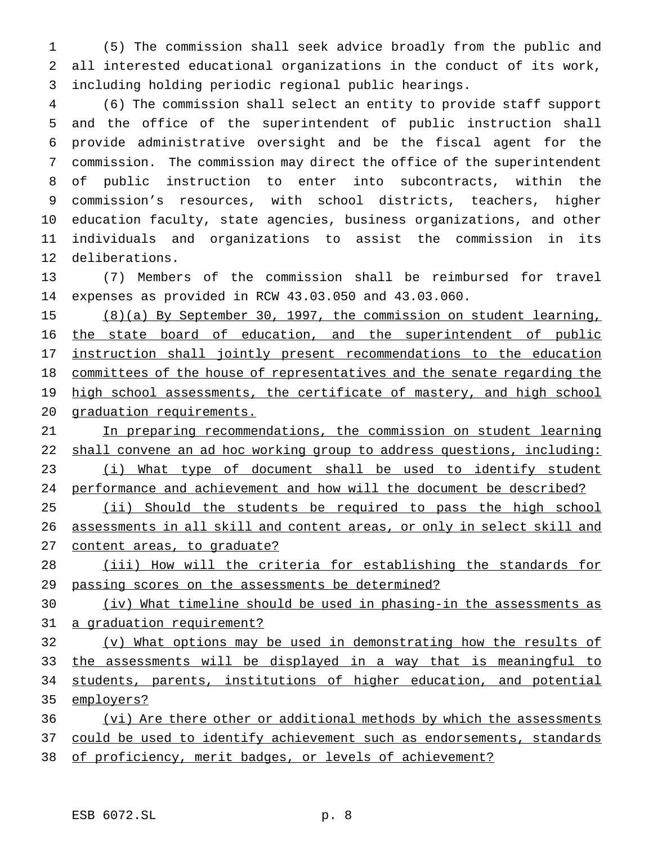(5) The commission shall seek advice broadly from the public and all interested educational organizations in the conduct of its work, including holding periodic regional public hearings.

 (6) The commission shall select an entity to provide staff support and the office of the superintendent of public instruction shall provide administrative oversight and be the fiscal agent for the commission. The commission may direct the office of the superintendent of public instruction to enter into subcontracts, within the commission's resources, with school districts, teachers, higher education faculty, state agencies, business organizations, and other individuals and organizations to assist the commission in its deliberations.

 (7) Members of the commission shall be reimbursed for travel expenses as provided in RCW 43.03.050 and 43.03.060.

 (8)(a) By September 30, 1997, the commission on student learning, 16 the state board of education, and the superintendent of public instruction shall jointly present recommendations to the education 18 committees of the house of representatives and the senate regarding the 19 high school assessments, the certificate of mastery, and high school graduation requirements.

21 In preparing recommendations, the commission on student learning 22 shall convene an ad hoc working group to address questions, including: 23 (i) What type of document shall be used to identify student performance and achievement and how will the document be described?

25 (ii) Should the students be required to pass the high school 26 assessments in all skill and content areas, or only in select skill and content areas, to graduate?

 (iii) How will the criteria for establishing the standards for passing scores on the assessments be determined?

 (iv) What timeline should be used in phasing-in the assessments as a graduation requirement?

 (v) What options may be used in demonstrating how the results of the assessments will be displayed in a way that is meaningful to students, parents, institutions of higher education, and potential employers?

 (vi) Are there other or additional methods by which the assessments 37 could be used to identify achievement such as endorsements, standards of proficiency, merit badges, or levels of achievement?